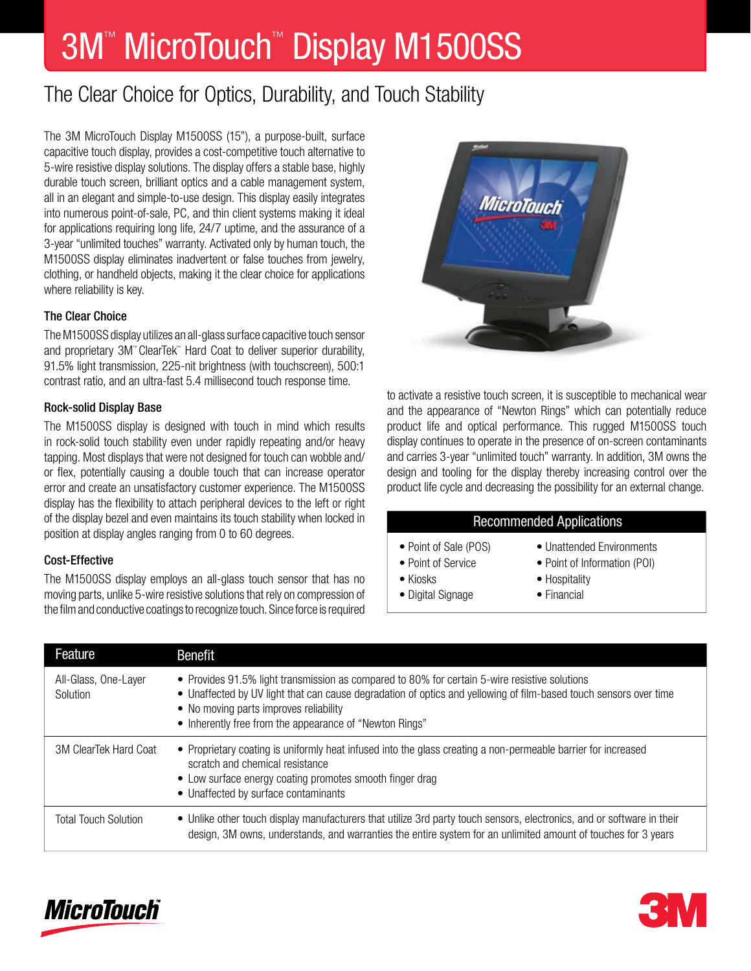# 3M™ MicroTouch™ Display M1500SS

# The Clear Choice for Optics, Durability, and Touch Stability

The 3M MicroTouch Display M1500SS (15"), a purpose-built, surface capacitive touch display, provides a cost-competitive touch alternative to 5-wire resistive display solutions. The display offers a stable base, highly durable touch screen, brilliant optics and a cable management system, all in an elegant and simple-to-use design. This display easily integrates into numerous point-of-sale, PC, and thin client systems making it ideal for applications requiring long life, 24/7 uptime, and the assurance of a 3-year "unlimited touches" warranty. Activated only by human touch, the M1500SS display eliminates inadvertent or false touches from jewelry, clothing, or handheld objects, making it the clear choice for applications where reliability is key.

## The Clear Choice

The M1500SS display utilizes an all-glass surface capacitive touch sensor and proprietary 3M™ ClearTek™ Hard Coat to deliver superior durability, 91.5% light transmission, 225-nit brightness (with touchscreen), 500:1 contrast ratio, and an ultra-fast 5.4 millisecond touch response time.

### Rock-solid Display Base

The M1500SS display is designed with touch in mind which results in rock-solid touch stability even under rapidly repeating and/or heavy tapping. Most displays that were not designed for touch can wobble and/ or flex, potentially causing a double touch that can increase operator error and create an unsatisfactory customer experience. The M1500SS display has the flexibility to attach peripheral devices to the left or right of the display bezel and even maintains its touch stability when locked in position at display angles ranging from 0 to 60 degrees.

### Cost-Effective

The M1500SS display employs an all-glass touch sensor that has no moving parts, unlike 5-wire resistive solutions that rely on compression of the film and conductive coatings to recognize touch. Since force is required



to activate a resistive touch screen, it is susceptible to mechanical wear and the appearance of "Newton Rings" which can potentially reduce product life and optical performance. This rugged M1500SS touch display continues to operate in the presence of on-screen contaminants and carries 3-year "unlimited touch" warranty. In addition, 3M owns the design and tooling for the display thereby increasing control over the product life cycle and decreasing the possibility for an external change.

### Recommended Applications

- 
- 
- 
- Digital Signage Financial
- Point of Sale (POS) Unattended Environments
- Point of Service Point of Information (POI)
- Kiosks Hospitality
	-

| Feature                          | <b>Benefit</b>                                                                                                                                                                                                                                                                                                          |
|----------------------------------|-------------------------------------------------------------------------------------------------------------------------------------------------------------------------------------------------------------------------------------------------------------------------------------------------------------------------|
| All-Glass, One-Layer<br>Solution | • Provides 91.5% light transmission as compared to 80% for certain 5-wire resistive solutions<br>• Unaffected by UV light that can cause degradation of optics and yellowing of film-based touch sensors over time<br>• No moving parts improves reliability<br>• Inherently free from the appearance of "Newton Rings" |
| 3M ClearTek Hard Coat            | • Proprietary coating is uniformly heat infused into the glass creating a non-permeable barrier for increased<br>scratch and chemical resistance<br>• Low surface energy coating promotes smooth finger drag<br>• Unaffected by surface contaminants                                                                    |
| <b>Total Touch Solution</b>      | • Unlike other touch display manufacturers that utilize 3rd party touch sensors, electronics, and or software in their<br>design, 3M owns, understands, and warranties the entire system for an unlimited amount of touches for 3 years                                                                                 |